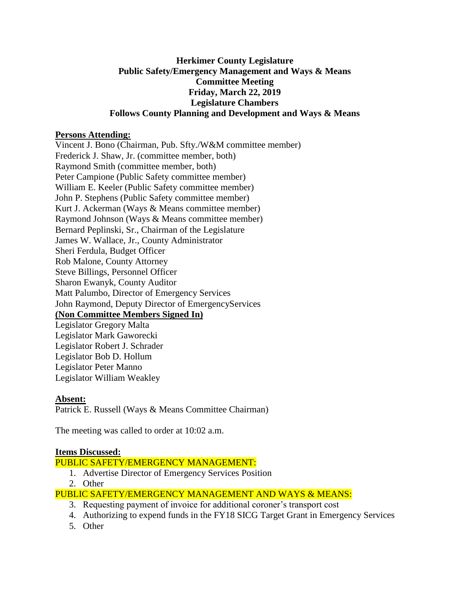## **Herkimer County Legislature Public Safety/Emergency Management and Ways & Means Committee Meeting Friday, March 22, 2019 Legislature Chambers Follows County Planning and Development and Ways & Means**

## **Persons Attending:**

Vincent J. Bono (Chairman, Pub. Sfty./W&M committee member) Frederick J. Shaw, Jr. (committee member, both) Raymond Smith (committee member, both) Peter Campione (Public Safety committee member) William E. Keeler (Public Safety committee member) John P. Stephens (Public Safety committee member) Kurt J. Ackerman (Ways & Means committee member) Raymond Johnson (Ways & Means committee member) Bernard Peplinski, Sr., Chairman of the Legislature James W. Wallace, Jr., County Administrator Sheri Ferdula, Budget Officer Rob Malone, County Attorney Steve Billings, Personnel Officer Sharon Ewanyk, County Auditor Matt Palumbo, Director of Emergency Services John Raymond, Deputy Director of EmergencyServices **(Non Committee Members Signed In)** Legislator Gregory Malta Legislator Mark Gaworecki Legislator Robert J. Schrader Legislator Bob D. Hollum Legislator Peter Manno Legislator William Weakley

#### **Absent:**

Patrick E. Russell (Ways & Means Committee Chairman)

The meeting was called to order at 10:02 a.m.

#### **Items Discussed:**

PUBLIC SAFETY/EMERGENCY MANAGEMENT:

- 1. Advertise Director of Emergency Services Position
- 2. Other

PUBLIC SAFETY/EMERGENCY MANAGEMENT AND WAYS & MEANS:

- 3. Requesting payment of invoice for additional coroner's transport cost
- 4. Authorizing to expend funds in the FY18 SICG Target Grant in Emergency Services
- 5. Other